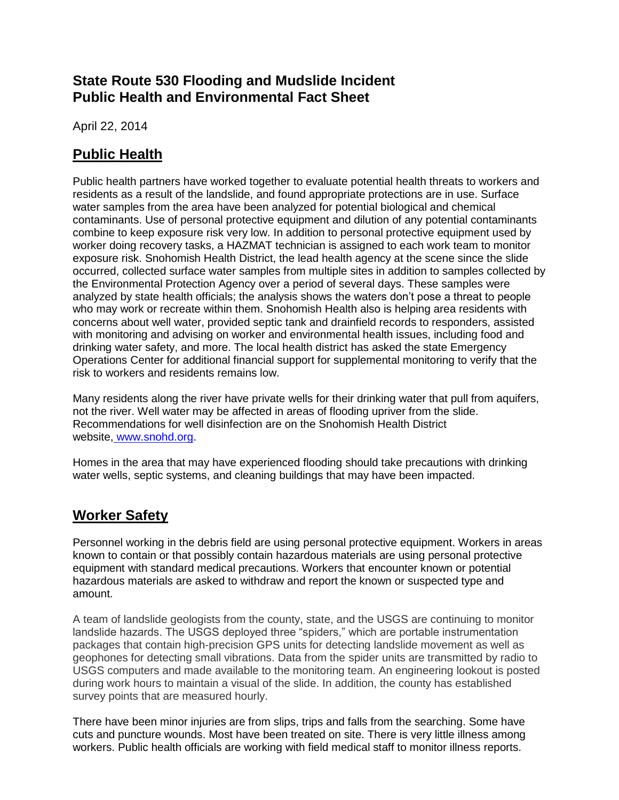## **State Route 530 Flooding and Mudslide Incident Public Health and Environmental Fact Sheet**

April 22, 2014

# **Public Health**

Public health partners have worked together to evaluate potential health threats to workers and residents as a result of the landslide, and found appropriate protections are in use. Surface water samples from the area have been analyzed for potential biological and chemical contaminants. Use of personal protective equipment and dilution of any potential contaminants combine to keep exposure risk very low. In addition to personal protective equipment used by worker doing recovery tasks, a HAZMAT technician is assigned to each work team to monitor exposure risk. Snohomish Health District, the lead health agency at the scene since the slide occurred, collected surface water samples from multiple sites in addition to samples collected by the Environmental Protection Agency over a period of several days. These samples were analyzed by state health officials; the analysis shows the waters don't pose a threat to people who may work or recreate within them. Snohomish Health also is helping area residents with concerns about well water, provided septic tank and drainfield records to responders, assisted with monitoring and advising on worker and environmental health issues, including food and drinking water safety, and more. The local health district has asked the state Emergency Operations Center for additional financial support for supplemental monitoring to verify that the risk to workers and residents remains low.

Many residents along the river have private wells for their drinking water that pull from aquifers, not the river. Well water may be affected in areas of flooding upriver from the slide. Recommendations for well disinfection are on the Snohomish Health District website, [www.snohd.org.](http://www.google.com/url?q=http%3A%2F%2Fwww.snohd.org%2F&sa=D&sntz=1&usg=AFQjCNFRrTGW2p4zw1sHt6MujHvaMaq2nQ)

Homes in the area that may have experienced flooding should take precautions with drinking water wells, septic systems, and cleaning buildings that may have been impacted.

# **Worker Safety**

Personnel working in the debris field are using personal protective equipment. Workers in areas known to contain or that possibly contain hazardous materials are using personal protective equipment with standard medical precautions. Workers that encounter known or potential hazardous materials are asked to withdraw and report the known or suspected type and amount.

A team of landslide geologists from the county, state, and the USGS are continuing to monitor landslide hazards. The USGS deployed three "spiders," which are portable instrumentation packages that contain high-precision GPS units for detecting landslide movement as well as geophones for detecting small vibrations. Data from the spider units are transmitted by radio to USGS computers and made available to the monitoring team. An engineering lookout is posted during work hours to maintain a visual of the slide. In addition, the county has established survey points that are measured hourly.

There have been minor injuries are from slips, trips and falls from the searching. Some have cuts and puncture wounds. Most have been treated on site. There is very little illness among workers. Public health officials are working with field medical staff to monitor illness reports.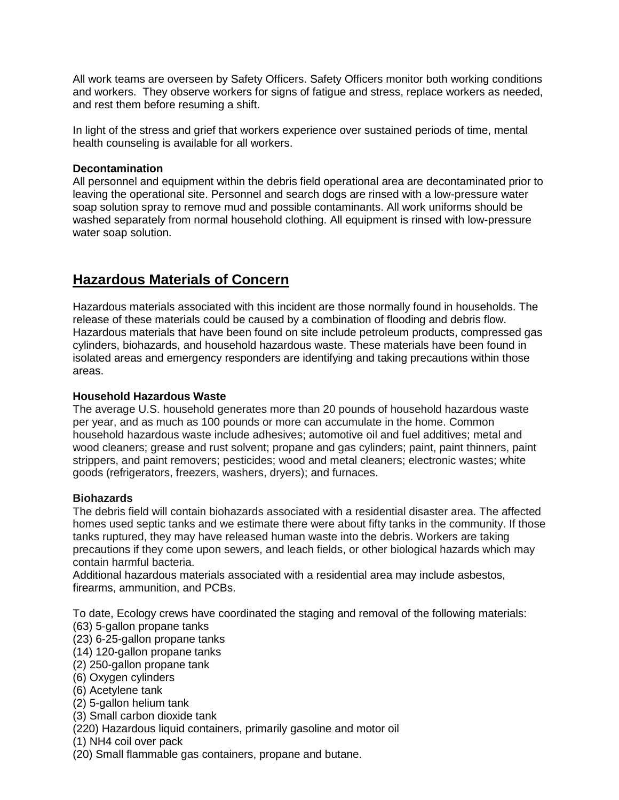All work teams are overseen by Safety Officers. Safety Officers monitor both working conditions and workers. They observe workers for signs of fatigue and stress, replace workers as needed, and rest them before resuming a shift.

In light of the stress and grief that workers experience over sustained periods of time, mental health counseling is available for all workers.

#### **Decontamination**

All personnel and equipment within the debris field operational area are decontaminated prior to leaving the operational site. Personnel and search dogs are rinsed with a low-pressure water soap solution spray to remove mud and possible contaminants. All work uniforms should be washed separately from normal household clothing. All equipment is rinsed with low-pressure water soap solution.

## **Hazardous Materials of Concern**

Hazardous materials associated with this incident are those normally found in households. The release of these materials could be caused by a combination of flooding and debris flow. Hazardous materials that have been found on site include petroleum products, compressed gas cylinders, biohazards, and household hazardous waste. These materials have been found in isolated areas and emergency responders are identifying and taking precautions within those areas.

#### **Household Hazardous Waste**

The average U.S. household generates more than 20 pounds of household hazardous waste per year, and as much as 100 pounds or more can accumulate in the home. Common household hazardous waste include adhesives; automotive oil and fuel additives; metal and wood cleaners; grease and rust solvent; propane and gas cylinders; paint, paint thinners, paint strippers, and paint removers; pesticides; wood and metal cleaners; electronic wastes; white goods (refrigerators, freezers, washers, dryers); and furnaces.

#### **Biohazards**

The debris field will contain biohazards associated with a residential disaster area. The affected homes used septic tanks and we estimate there were about fifty tanks in the community. If those tanks ruptured, they may have released human waste into the debris. Workers are taking precautions if they come upon sewers, and leach fields, or other biological hazards which may contain harmful bacteria.

Additional hazardous materials associated with a residential area may include asbestos, firearms, ammunition, and PCBs.

To date, Ecology crews have coordinated the staging and removal of the following materials: (63) 5-gallon propane tanks

- (23) 6-25-gallon propane tanks
- (14) 120-gallon propane tanks
- (2) 250-gallon propane tank
- (6) Oxygen cylinders
- (6) Acetylene tank
- (2) 5-gallon helium tank
- (3) Small carbon dioxide tank
- (220) Hazardous liquid containers, primarily gasoline and motor oil
- (1) NH4 coil over pack
- (20) Small flammable gas containers, propane and butane.